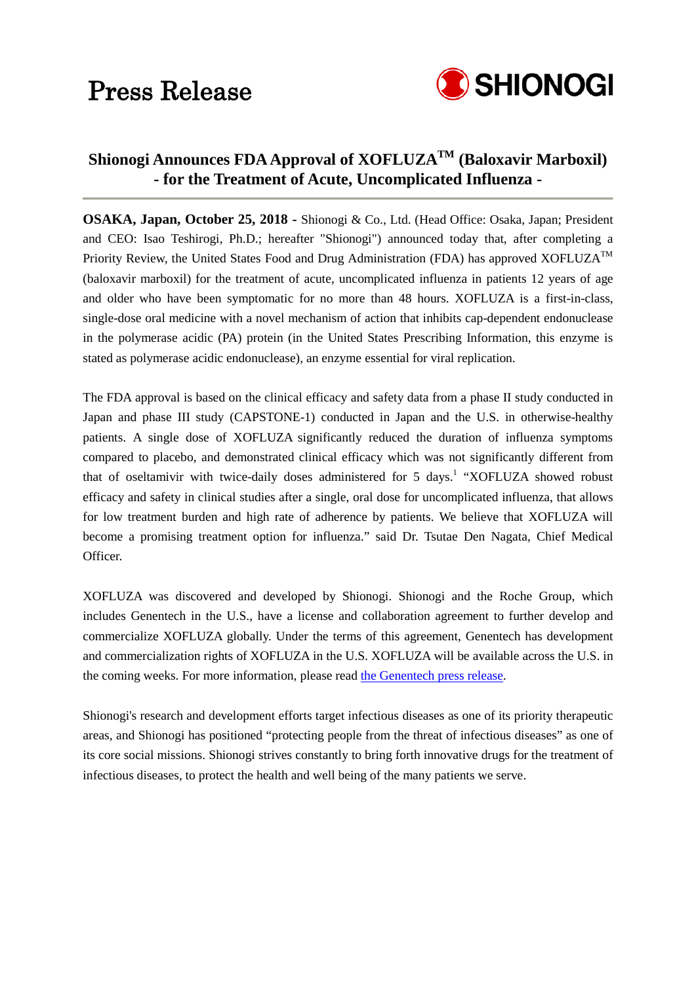

### **Shionogi Announces FDA Approval of XOFLUZATM (Baloxavir Marboxil) - for the Treatment of Acute, Uncomplicated Influenza -**

**OSAKA, Japan, October 25, 2018 -** Shionogi & Co., Ltd. (Head Office: Osaka, Japan; President and CEO: Isao Teshirogi, Ph.D.; hereafter "Shionogi") announced today that, after completing a Priority Review, the United States Food and Drug Administration (FDA) has approved XOFLUZA<sup>TM</sup> (baloxavir marboxil) for the treatment of acute, uncomplicated influenza in patients 12 years of age and older who have been symptomatic for no more than 48 hours. XOFLUZA is a first-in-class, single-dose oral medicine with a novel mechanism of action that inhibits cap-dependent endonuclease in the polymerase acidic (PA) protein (in the United States Prescribing Information, this enzyme is stated as polymerase acidic endonuclease), an enzyme essential for viral replication.

The FDA approval is based on the clinical efficacy and safety data from a phase II study conducted in Japan and phase III study (CAPSTONE-1) conducted in Japan and the U.S. in otherwise-healthy patients. A single dose of XOFLUZA significantly reduced the duration of influenza symptoms compared to placebo, and demonstrated clinical efficacy which was not significantly different from that of oseltamivir with twice-daily doses administered for 5 days.<sup>1</sup> "XOFLUZA showed robust efficacy and safety in clinical studies after a single, oral dose for uncomplicated influenza, that allows for low treatment burden and high rate of adherence by patients. We believe that XOFLUZA will become a promising treatment option for influenza." said Dr. Tsutae Den Nagata, Chief Medical Officer.

XOFLUZA was discovered and developed by Shionogi. Shionogi and the Roche Group, which includes Genentech in the U.S., have a license and collaboration agreement to further develop and commercialize XOFLUZA globally. Under the terms of this agreement, Genentech has development and commercialization rights of XOFLUZA in the U.S. XOFLUZA will be available across the U.S. in the coming weeks. For more information, please read the [Genentech press release.](https://www.gene.com/media/press-releases/14761/2018-10-24/genentech-announces-fda-approval-of-xofl)

Shionogi's research and development efforts target infectious diseases as one of its priority therapeutic areas, and Shionogi has positioned "protecting people from the threat of infectious diseases" as one of its core social missions. Shionogi strives constantly to bring forth innovative drugs for the treatment of infectious diseases, to protect the health and well being of the many patients we serve.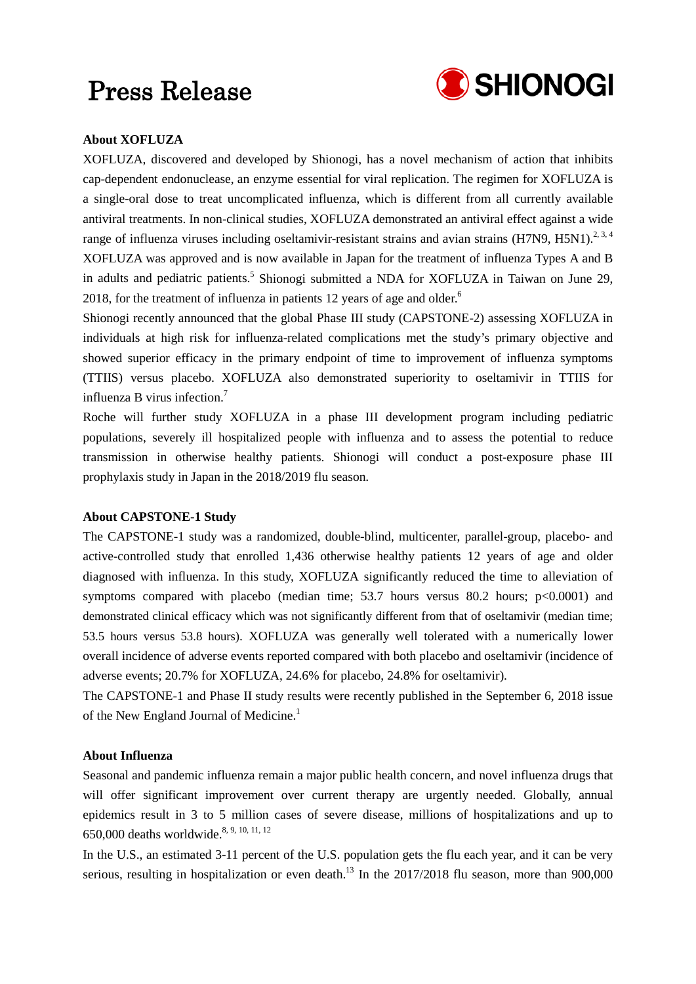

### **About XOFLUZA**

XOFLUZA, discovered and developed by Shionogi, has a novel mechanism of action that inhibits cap-dependent endonuclease, an enzyme essential for viral replication. The regimen for XOFLUZA is a single-oral dose to treat uncomplicated influenza, which is different from all currently available antiviral treatments. In non-clinical studies, XOFLUZA demonstrated an antiviral effect against a wide range of influenza viruses including oseltamivir-resistant strains and avian strains (H7N9, H5N1).<sup>2,3,4</sup> XOFLUZA was approved and is now available in Japan for the treatment of influenza Types A and B in adults and pediatric patients. <sup>5</sup> Shionogi submitted a NDA for XOFLUZA in Taiwan on June 29, 2018, for the treatment of influenza in patients 12 years of age and older.<sup>6</sup>

Shionogi recently announced that the global Phase III study (CAPSTONE-2) assessing XOFLUZA in individuals at high risk for influenza-related complications met the study's primary objective and showed superior efficacy in the primary endpoint of time to improvement of influenza symptoms (TTIIS) versus placebo. XOFLUZA also demonstrated superiority to oseltamivir in TTIIS for influenza B virus infection.<sup>7</sup>

Roche will further study XOFLUZA in a phase III development program including pediatric populations, severely ill hospitalized people with influenza and to assess the potential to reduce transmission in otherwise healthy patients. Shionogi will conduct a post-exposure phase III prophylaxis study in Japan in the 2018/2019 flu season.

#### **About CAPSTONE-1 Study**

The CAPSTONE-1 study was a randomized, double-blind, multicenter, parallel-group, placebo- and active-controlled study that enrolled 1,436 otherwise healthy patients 12 years of age and older diagnosed with influenza. In this study, XOFLUZA significantly reduced the time to alleviation of symptoms compared with placebo (median time; 53.7 hours versus  $80.2$  hours;  $p \le 0.0001$ ) and demonstrated clinical efficacy which was not significantly different from that of oseltamivir (median time; 53.5 hours versus 53.8 hours). XOFLUZA was generally well tolerated with a numerically lower overall incidence of adverse events reported compared with both placebo and oseltamivir (incidence of adverse events; 20.7% for XOFLUZA, 24.6% for placebo, 24.8% for oseltamivir).

The CAPSTONE-1 and Phase II study results were recently published in the September 6, 2018 issue of the New England Journal of Medicine.<sup>1</sup>

#### **About Influenza**

Seasonal and pandemic influenza remain a major public health concern, and novel influenza drugs that will offer significant improvement over current therapy are urgently needed. Globally, annual epidemics result in 3 to 5 million cases of severe disease, millions of hospitalizations and up to 650,000 deaths worldwide.8, 9, 10, 11, 12

In the U.S., an estimated 3-11 percent of the U.S. population gets the flu each year, and it can be very serious, resulting in hospitalization or even death.<sup>13</sup> In the  $2017/2018$  flu season, more than  $900,000$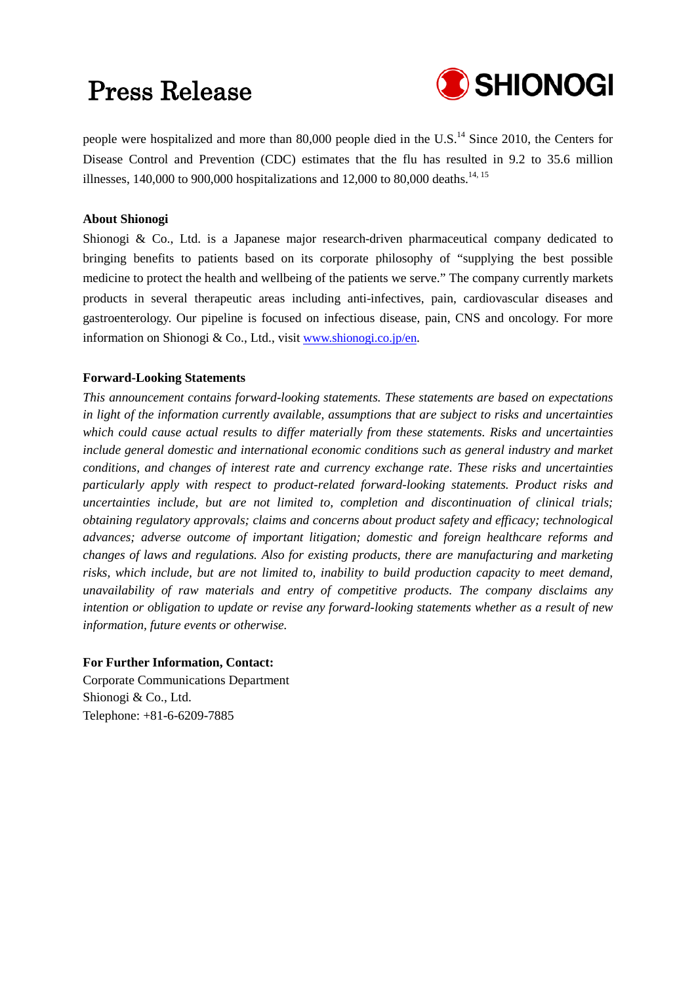

people were hospitalized and more than 80,000 people died in the U.S.<sup>14</sup> Since 2010, the Centers for Disease Control and Prevention (CDC) estimates that the flu has resulted in 9.2 to 35.6 million illnesses, 140,000 to 900,000 hospitalizations and 12,000 to 80,000 deaths.<sup>14, 15</sup>

### **About Shionogi**

Shionogi & Co., Ltd. is a Japanese major research-driven pharmaceutical company dedicated to bringing benefits to patients based on its corporate philosophy of "supplying the best possible medicine to protect the health and wellbeing of the patients we serve." The company currently markets products in several therapeutic areas including anti-infectives, pain, cardiovascular diseases and gastroenterology. Our pipeline is focused on infectious disease, pain, CNS and oncology. For more information on Shionogi & Co., Ltd., visit [www.shionogi.co.jp/en.](http://www.shionogi.co.jp/en/)

#### **Forward-Looking Statements**

*This announcement contains forward-looking statements. These statements are based on expectations in light of the information currently available, assumptions that are subject to risks and uncertainties which could cause actual results to differ materially from these statements. Risks and uncertainties include general domestic and international economic conditions such as general industry and market conditions, and changes of interest rate and currency exchange rate. These risks and uncertainties particularly apply with respect to product-related forward-looking statements. Product risks and uncertainties include, but are not limited to, completion and discontinuation of clinical trials; obtaining regulatory approvals; claims and concerns about product safety and efficacy; technological advances; adverse outcome of important litigation; domestic and foreign healthcare reforms and changes of laws and regulations. Also for existing products, there are manufacturing and marketing risks, which include, but are not limited to, inability to build production capacity to meet demand, unavailability of raw materials and entry of competitive products. The company disclaims any intention or obligation to update or revise any forward-looking statements whether as a result of new information, future events or otherwise.*

#### **For Further Information, Contact:**

Corporate Communications Department Shionogi & Co., Ltd. Telephone: +81-6-6209-7885